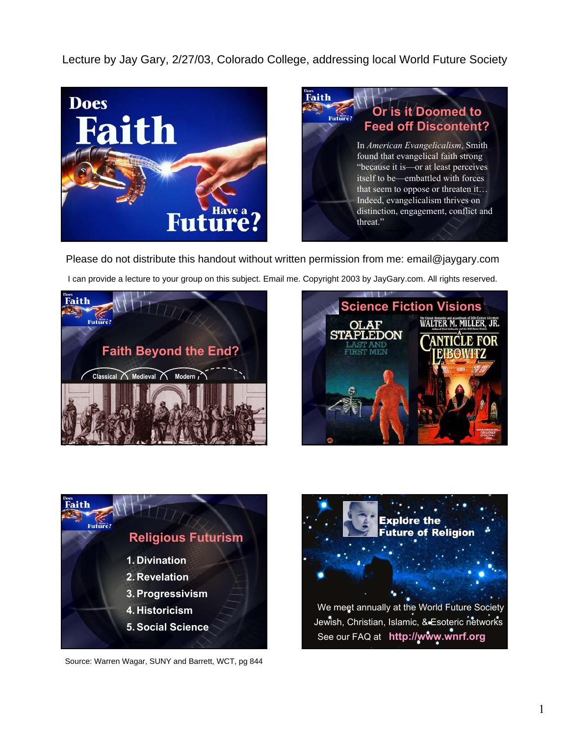Lecture by Jay Gary, 2/27/03, Colorado College, addressing local World Future Society





Please do not distribute this handout without written permission from me: email@jaygary.com

I can provide a lecture to your group on this subject. Email me. Copyright 2003 by JayGary.com. All rights reserved.







Source: Warren Wagar, SUNY and Barrett, WCT, pg 844

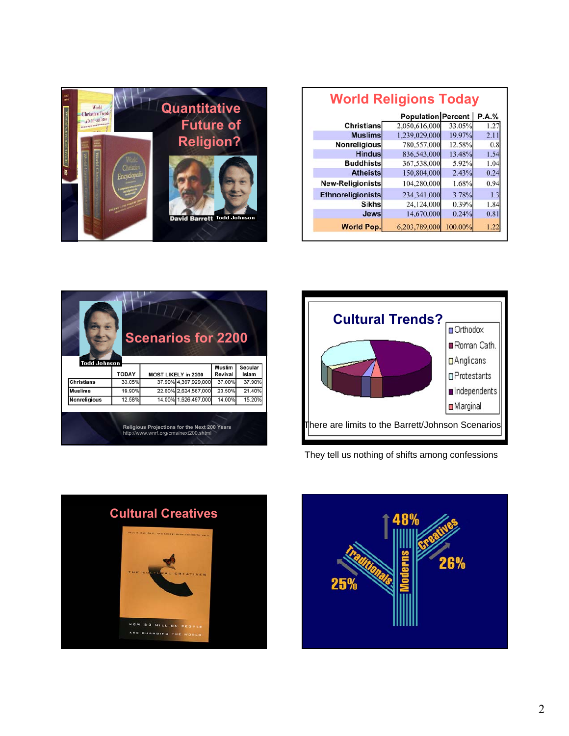| <b>World Religions Today</b> |                    |         |       |
|------------------------------|--------------------|---------|-------|
|                              | Population Percent |         | P.A.% |
| <b>Christians</b>            | 2,050,616,000      | 33.05%  | 1.27  |
| <b>Muslims</b>               | 1,239,029,000      | 19.97%  | 2.11  |
| <b>Nonreligious</b>          | 780,557,000        | 12.58%  | 0.8   |
| <b>Hindus</b>                | 836,543,000        | 13.48%  | 1.54  |
| <b>Buddhists</b>             | 367,538,000        | 5.92%   | 1.04  |
| <b>Atheists</b>              | 150,804,000        | 2.43%   | 0.24  |
| New-Religionists             | 104,280,000        | 1.68%   | 0.94  |
| <b>Ethnoreligionists</b>     | 234,341,000        | 3.78%   | 1.3   |
| <b>Sikhs</b>                 | 24,124,000         | 0.39%   | 1.84  |
| <b>Jews</b>                  | 14,670,000         | 0.24%   | 0.81  |
| <b>World Pop.</b>            | 6,203,789,000      | 100.00% | 1.22  |





They tell us nothing of shifts among confessions





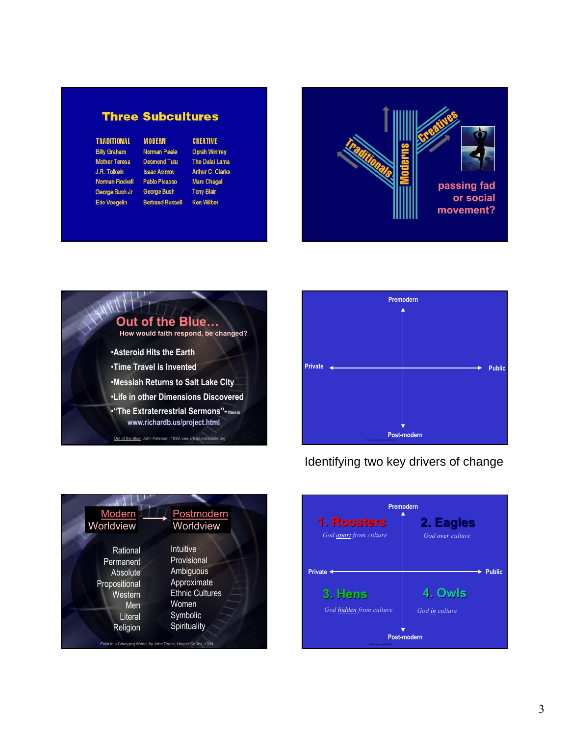### **Three Subcultures**

**MODERN** 

**Desmond Tutu** 

**Isaac Asimov** 

Pablo Picasso

George Bush

**Bertrand Russell** 

**TRADITIONAL Billy Graham Mother Teresa** J.R. Tolkein Norman Rockell George Bush Jr Eric Voegelin

#### **CREATIVE Norman Peale**

**Oprah Winfrey** The Dalai Lama Arthur C. Clarke **Marc Chagall Tony Blair** Ken Wilber







## Identifying two key drivers of change



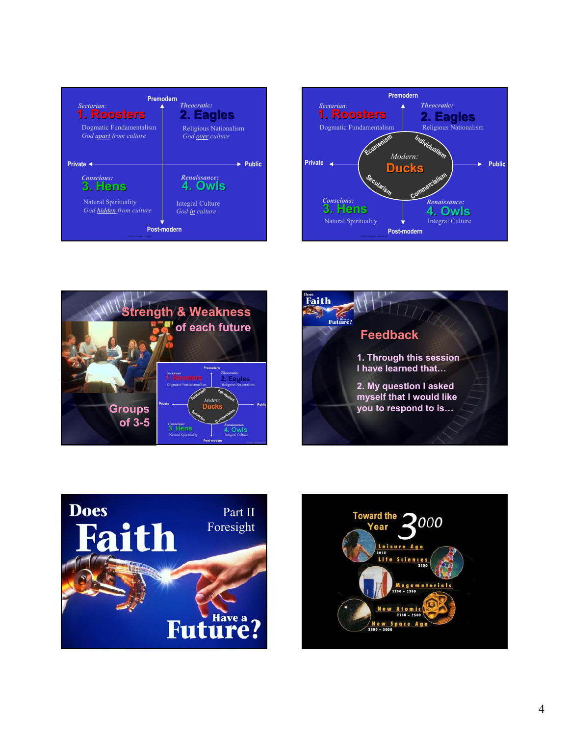| <b>Premodern</b><br><b>Theocratic:</b><br>Sectarian:<br>1. Roosters<br>2. Eagles<br>Dogmatic Fundamentalism<br>Religious Nationalism<br>God apart from culture<br>God over culture |                                           |  |  |
|------------------------------------------------------------------------------------------------------------------------------------------------------------------------------------|-------------------------------------------|--|--|
| Private <                                                                                                                                                                          | Public                                    |  |  |
| <b>Conscious:</b><br>3. Hens                                                                                                                                                       | Renaissance:<br>4. Owls                   |  |  |
| Natural Spirituality<br>God hidden from culture                                                                                                                                    | <b>Integral Culture</b><br>God in culture |  |  |
| Post-modern<br>Four Futures of Reliable                                                                                                                                            |                                           |  |  |









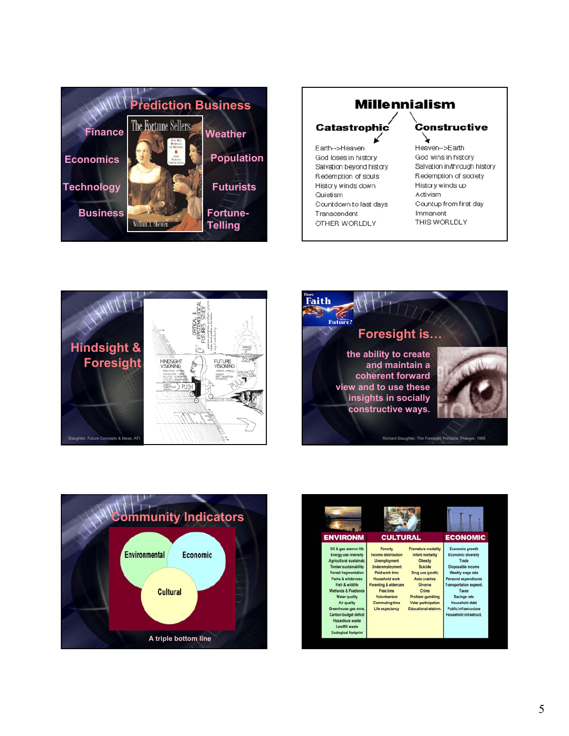

## **Millennialism**

# **Catastrophic**

Earth-->Heaven God loses in history Salvation beyond history Redemption of souls History winds down Quietism Countdown to last days Transcendent OTHER WORLDLY

#### Constructive

Heaven-->Earth God wins in history Salvation in/through history Redemption of society History winds up Activism Countup from first day Immanent THIS WORLDLY